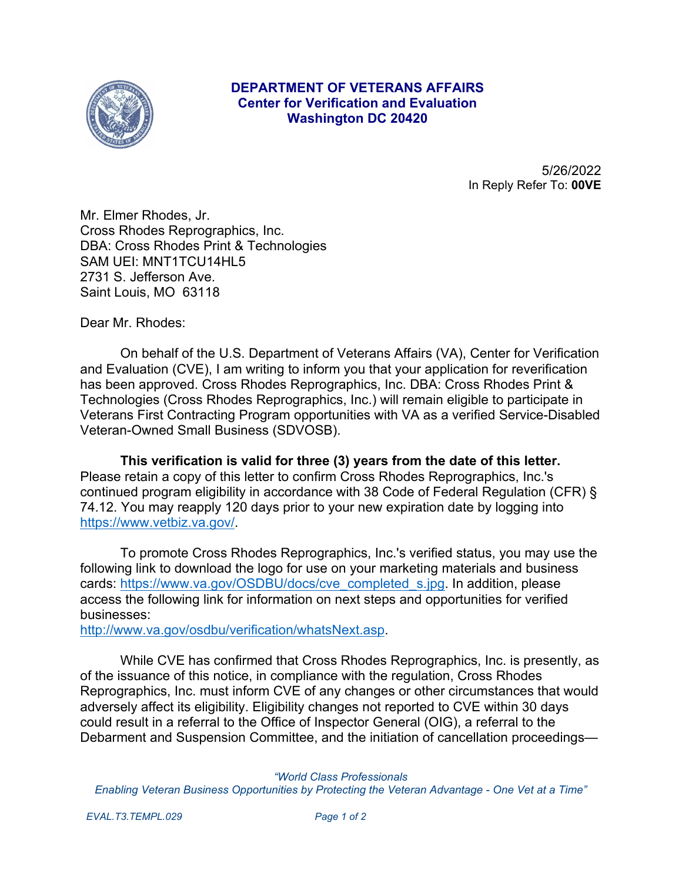

## **DEPARTMENT OF VETERANS AFFAIRS Center for Verification and Evaluation Washington DC 20420**

5/26/2022 In Reply Refer To: **00VE**

Mr. Elmer Rhodes, Jr. Cross Rhodes Reprographics, Inc. DBA: Cross Rhodes Print & Technologies SAM UEI: MNT1TCU14HL5 2731 S. Jefferson Ave. Saint Louis, MO 63118

Dear Mr. Rhodes:

On behalf of the U.S. Department of Veterans Affairs (VA), Center for Verification and Evaluation (CVE), I am writing to inform you that your application for reverification has been approved. Cross Rhodes Reprographics, Inc. DBA: Cross Rhodes Print & Technologies (Cross Rhodes Reprographics, Inc.) will remain eligible to participate in Veterans First Contracting Program opportunities with VA as a verified Service-Disabled Veteran-Owned Small Business (SDVOSB).

**This verification is valid for three (3) years from the date of this letter.**  Please retain a copy of this letter to confirm Cross Rhodes Reprographics, Inc.'s continued program eligibility in accordance with 38 Code of Federal Regulation (CFR) § 74.12. You may reapply 120 days prior to your new expiration date by logging into [https://www.vetbiz.va.gov/.](https://www.vetbiz.va.gov/)

To promote Cross Rhodes Reprographics, Inc.'s verified status, you may use the following link to download the logo for use on your marketing materials and business cards: [https://www.va.gov/OSDBU/docs/cve\\_completed\\_s.jpg](https://www.va.gov/OSDBU/docs/cve_completed_s.jpg). In addition, please access the following link for information on next steps and opportunities for verified businesses:

<http://www.va.gov/osdbu/verification/whatsNext.asp>.

While CVE has confirmed that Cross Rhodes Reprographics, Inc. is presently, as of the issuance of this notice, in compliance with the regulation, Cross Rhodes Reprographics, Inc. must inform CVE of any changes or other circumstances that would adversely affect its eligibility. Eligibility changes not reported to CVE within 30 days could result in a referral to the Office of Inspector General (OIG), a referral to the Debarment and Suspension Committee, and the initiation of cancellation proceedings—

*"World Class Professionals Enabling Veteran Business Opportunities by Protecting the Veteran Advantage - One Vet at a Time"*